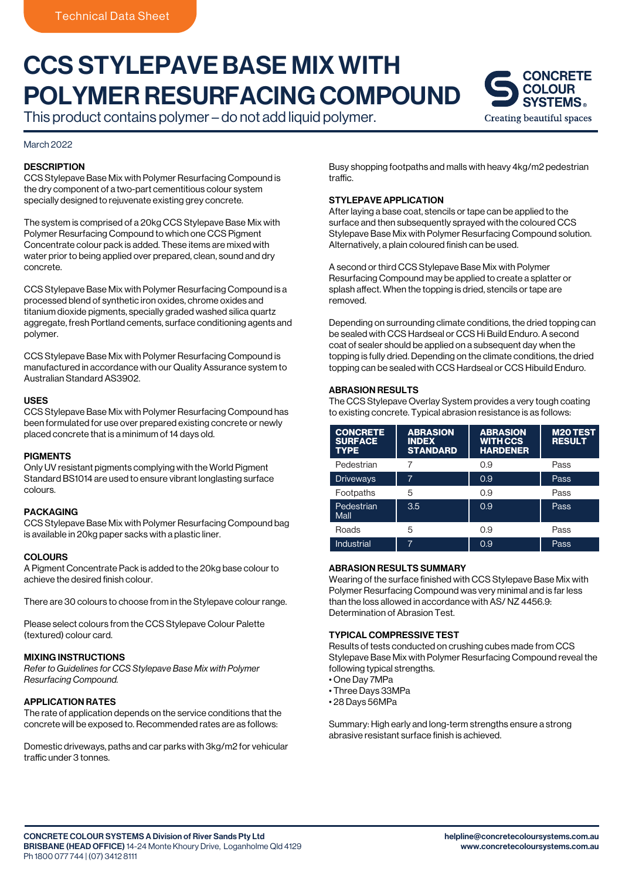# CCS STYLEPAVE BASE MIX WITH POLYMER RESURFACING COMPOUND

This product contains polymer – do not add liquid polymer.

## March 2022

# **DESCRIPTION**

CCS Stylepave Base Mix with Polymer Resurfacing Compound is the dry component of a two-part cementitious colour system specially designed to rejuvenate existing grey concrete.

The system is comprised of a 20kg CCS Stylepave Base Mix with Polymer Resurfacing Compound to which one CCS Pigment Concentrate colour pack is added. These items are mixed with water prior to being applied over prepared, clean, sound and dry concrete.

CCS Stylepave Base Mix with Polymer Resurfacing Compound is a processed blend of synthetic iron oxides, chrome oxides and titanium dioxide pigments, specially graded washed silica quartz aggregate, fresh Portland cements, surface conditioning agents and polymer.

CCS Stylepave Base Mix with Polymer Resurfacing Compound is manufactured in accordance with our Quality Assurance system to Australian Standard AS3902.

## USES

CCS Stylepave Base Mix with Polymer Resurfacing Compound has been formulated for use over prepared existing concrete or newly placed concrete that is a minimum of 14 days old.

## **PIGMENTS**

Only UV resistant pigments complying with the World Pigment Standard BS1014 are used to ensure vibrant longlasting surface colours.

#### PACKAGING

CCS Stylepave Base Mix with Polymer Resurfacing Compound bag is available in 20kg paper sacks with a plastic liner.

## **COLOURS**

A Pigment Concentrate Pack is added to the 20kg base colour to achieve the desired finish colour.

There are 30 colours to choose from in the Stylepave colour range.

Please select colours from the CCS Stylepave Colour Palette (textured) colour card.

# MIXING INSTRUCTIONS

*Refer to Guidelines for CCS Stylepave Base Mix with Polymer Resurfacing Compound.*

# APPLICATION RATES

The rate of application depends on the service conditions that the concrete will be exposed to. Recommended rates are as follows:

Domestic driveways, paths and car parks with 3kg/m2 for vehicular traffic under 3 tonnes.

Busy shopping footpaths and malls with heavy 4kg/m2 pedestrian traffic.

# STYLEPAVE APPLICATION

After laying a base coat, stencils or tape can be applied to the surface and then subsequently sprayed with the coloured CCS Stylepave Base Mix with Polymer Resurfacing Compound solution. Alternatively, a plain coloured finish can be used.

A second or third CCS Stylepave Base Mix with Polymer Resurfacing Compound may be applied to create a splatter or splash affect. When the topping is dried, stencils or tape are removed.

Depending on surrounding climate conditions, the dried topping can be sealed with CCS Hardseal or CCS Hi Build Enduro. A second coat of sealer should be applied on a subsequent day when the topping is fully dried. Depending on the climate conditions, the dried topping can be sealed with CCS Hardseal or CCS Hibuild Enduro.

## ABRASION RESULTS

The CCS Stylepave Overlay System provides a very tough coating to existing concrete. Typical abrasion resistance is as follows:

| <b>CONCRETE</b><br><b>SURFACE</b><br><b>TYPE</b> | <b>ABRASION</b><br><b>INDEX</b><br><b>STANDARD</b> | <b>ABRASION</b><br><b>WITH CCS</b><br><b>HARDENER</b> | <b>M20 TEST</b><br><b>RESULT</b> |
|--------------------------------------------------|----------------------------------------------------|-------------------------------------------------------|----------------------------------|
| Pedestrian                                       | 7                                                  | 0.9                                                   | Pass                             |
| <b>Driveways</b>                                 | 7                                                  | 0.9                                                   | Pass                             |
| Footpaths                                        | 5                                                  | 0.9                                                   | Pass                             |
| Pedestrian<br>Mall                               | 3.5                                                | 0.9                                                   | Pass                             |
| Roads                                            | 5                                                  | 0.9                                                   | Pass                             |
| <b>Industrial</b>                                | 7                                                  | 0.9                                                   | Pass                             |

## ABRASION RESULTS SUMMARY

Wearing of the surface finished with CCS Stylepave Base Mix with Polymer Resurfacing Compound was very minimal and is far less than the loss allowed in accordance with AS/ NZ 4456.9: Determination of Abrasion Test.

# TYPICAL COMPRESSIVE TEST

Results of tests conducted on crushing cubes made from CCS Stylepave Base Mix with Polymer Resurfacing Compound reveal the following typical strengths.

- One Day 7MPa
- Three Days 33MPa
- 28 Days 56MPa

Summary: High early and long-term strengths ensure a strong abrasive resistant surface finish is achieved.